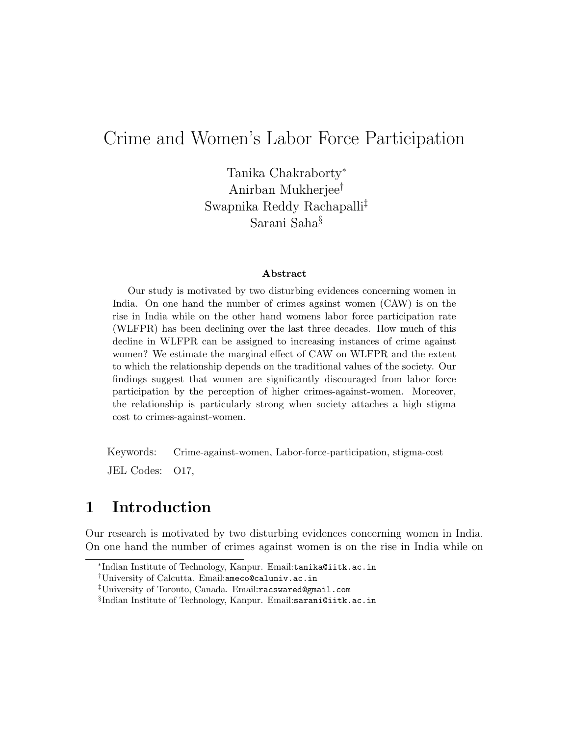# Crime and Women's Labor Force Participation

Tanika Chakraborty<sup>∗</sup> Anirban Mukherjee† Swapnika Reddy Rachapalli‡ Sarani Saha§

#### Abstract

Our study is motivated by two disturbing evidences concerning women in India. On one hand the number of crimes against women (CAW) is on the rise in India while on the other hand womens labor force participation rate (WLFPR) has been declining over the last three decades. How much of this decline in WLFPR can be assigned to increasing instances of crime against women? We estimate the marginal effect of CAW on WLFPR and the extent to which the relationship depends on the traditional values of the society. Our findings suggest that women are significantly discouraged from labor force participation by the perception of higher crimes-against-women. Moreover, the relationship is particularly strong when society attaches a high stigma cost to crimes-against-women.

Keywords: Crime-against-women, Labor-force-participation, stigma-cost

JEL Codes: O17,

# 1 Introduction

Our research is motivated by two disturbing evidences concerning women in India. On one hand the number of crimes against women is on the rise in India while on

<sup>∗</sup> Indian Institute of Technology, Kanpur. Email:tanika@iitk.ac.in

<sup>†</sup>University of Calcutta. Email:ameco@caluniv.ac.in

<sup>‡</sup>University of Toronto, Canada. Email:racswared@gmail.com

 $\S$ Indian Institute of Technology, Kanpur. Email:sarani@iitk.ac.in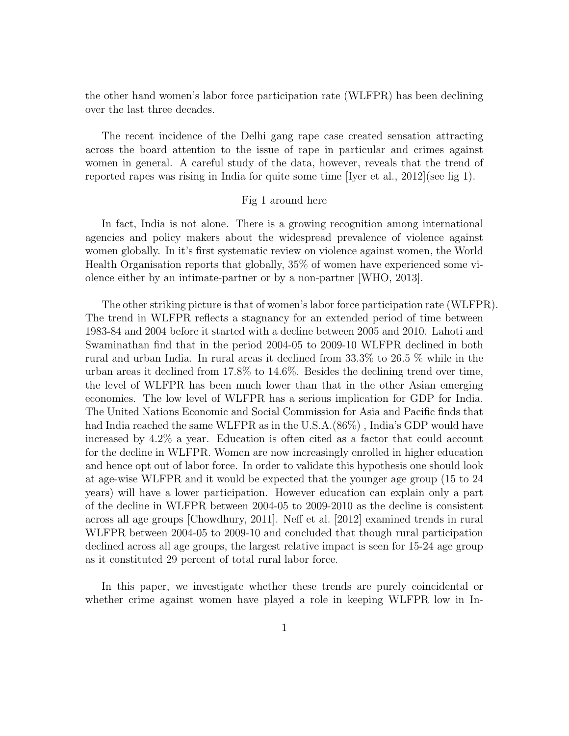the other hand women's labor force participation rate (WLFPR) has been declining over the last three decades.

The recent incidence of the Delhi gang rape case created sensation attracting across the board attention to the issue of rape in particular and crimes against women in general. A careful study of the data, however, reveals that the trend of reported rapes was rising in India for quite some time [Iyer et al., 2012](see fig 1).

#### Fig 1 around here

In fact, India is not alone. There is a growing recognition among international agencies and policy makers about the widespread prevalence of violence against women globally. In it's first systematic review on violence against women, the World Health Organisation reports that globally, 35% of women have experienced some violence either by an intimate-partner or by a non-partner [WHO, 2013].

The other striking picture is that of women's labor force participation rate (WLFPR). The trend in WLFPR reflects a stagnancy for an extended period of time between 1983-84 and 2004 before it started with a decline between 2005 and 2010. Lahoti and Swaminathan find that in the period 2004-05 to 2009-10 WLFPR declined in both rural and urban India. In rural areas it declined from 33.3% to 26.5 % while in the urban areas it declined from 17.8% to 14.6%. Besides the declining trend over time, the level of WLFPR has been much lower than that in the other Asian emerging economies. The low level of WLFPR has a serious implication for GDP for India. The United Nations Economic and Social Commission for Asia and Pacific finds that had India reached the same WLFPR as in the U.S.A.(86%) , India's GDP would have increased by 4.2% a year. Education is often cited as a factor that could account for the decline in WLFPR. Women are now increasingly enrolled in higher education and hence opt out of labor force. In order to validate this hypothesis one should look at age-wise WLFPR and it would be expected that the younger age group (15 to 24 years) will have a lower participation. However education can explain only a part of the decline in WLFPR between 2004-05 to 2009-2010 as the decline is consistent across all age groups [Chowdhury, 2011]. Neff et al. [2012] examined trends in rural WLFPR between 2004-05 to 2009-10 and concluded that though rural participation declined across all age groups, the largest relative impact is seen for 15-24 age group as it constituted 29 percent of total rural labor force.

In this paper, we investigate whether these trends are purely coincidental or whether crime against women have played a role in keeping WLFPR low in In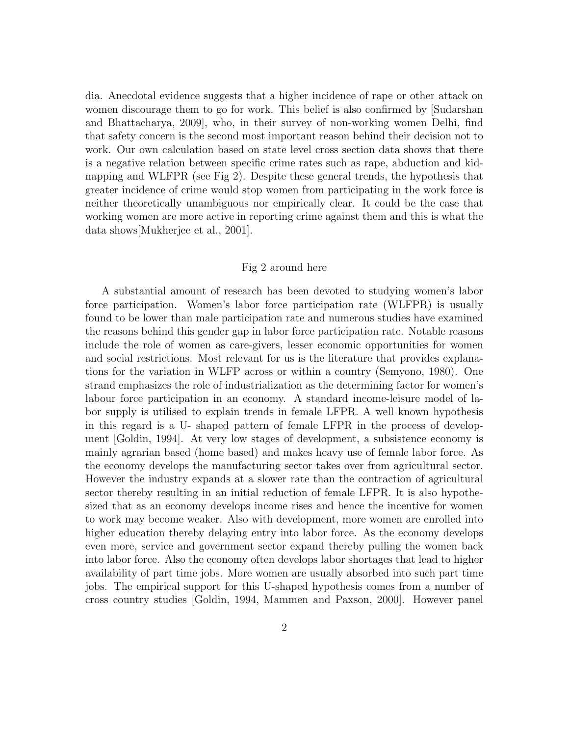dia. Anecdotal evidence suggests that a higher incidence of rape or other attack on women discourage them to go for work. This belief is also confirmed by [Sudarshan and Bhattacharya, 2009], who, in their survey of non-working women Delhi, find that safety concern is the second most important reason behind their decision not to work. Our own calculation based on state level cross section data shows that there is a negative relation between specific crime rates such as rape, abduction and kidnapping and WLFPR (see Fig 2). Despite these general trends, the hypothesis that greater incidence of crime would stop women from participating in the work force is neither theoretically unambiguous nor empirically clear. It could be the case that working women are more active in reporting crime against them and this is what the data shows[Mukherjee et al., 2001].

#### Fig 2 around here

A substantial amount of research has been devoted to studying women's labor force participation. Women's labor force participation rate (WLFPR) is usually found to be lower than male participation rate and numerous studies have examined the reasons behind this gender gap in labor force participation rate. Notable reasons include the role of women as care-givers, lesser economic opportunities for women and social restrictions. Most relevant for us is the literature that provides explanations for the variation in WLFP across or within a country (Semyono, 1980). One strand emphasizes the role of industrialization as the determining factor for women's labour force participation in an economy. A standard income-leisure model of labor supply is utilised to explain trends in female LFPR. A well known hypothesis in this regard is a U- shaped pattern of female LFPR in the process of development [Goldin, 1994]. At very low stages of development, a subsistence economy is mainly agrarian based (home based) and makes heavy use of female labor force. As the economy develops the manufacturing sector takes over from agricultural sector. However the industry expands at a slower rate than the contraction of agricultural sector thereby resulting in an initial reduction of female LFPR. It is also hypothesized that as an economy develops income rises and hence the incentive for women to work may become weaker. Also with development, more women are enrolled into higher education thereby delaying entry into labor force. As the economy develops even more, service and government sector expand thereby pulling the women back into labor force. Also the economy often develops labor shortages that lead to higher availability of part time jobs. More women are usually absorbed into such part time jobs. The empirical support for this U-shaped hypothesis comes from a number of cross country studies [Goldin, 1994, Mammen and Paxson, 2000]. However panel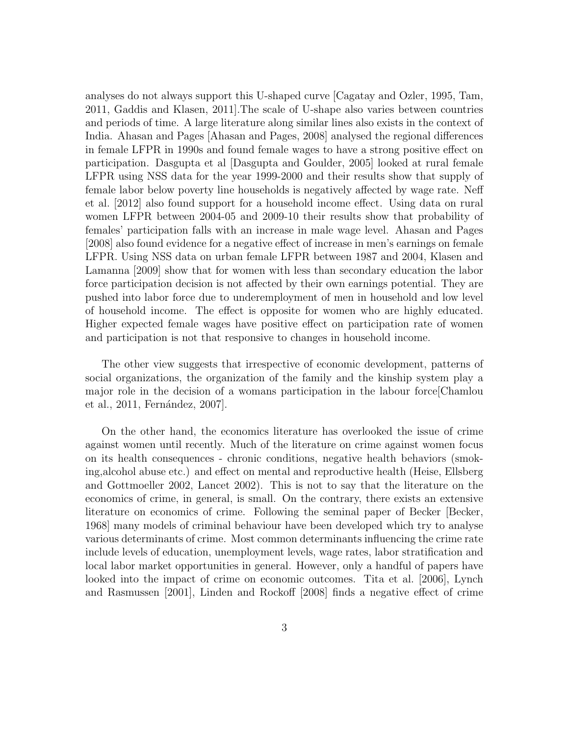analyses do not always support this U-shaped curve [Cagatay and Ozler, 1995, Tam, 2011, Gaddis and Klasen, 2011].The scale of U-shape also varies between countries and periods of time. A large literature along similar lines also exists in the context of India. Ahasan and Pages [Ahasan and Pages, 2008] analysed the regional differences in female LFPR in 1990s and found female wages to have a strong positive effect on participation. Dasgupta et al [Dasgupta and Goulder, 2005] looked at rural female LFPR using NSS data for the year 1999-2000 and their results show that supply of female labor below poverty line households is negatively affected by wage rate. Neff et al. [2012] also found support for a household income effect. Using data on rural women LFPR between 2004-05 and 2009-10 their results show that probability of females' participation falls with an increase in male wage level. Ahasan and Pages [2008] also found evidence for a negative effect of increase in men's earnings on female LFPR. Using NSS data on urban female LFPR between 1987 and 2004, Klasen and Lamanna [2009] show that for women with less than secondary education the labor force participation decision is not affected by their own earnings potential. They are pushed into labor force due to underemployment of men in household and low level of household income. The effect is opposite for women who are highly educated. Higher expected female wages have positive effect on participation rate of women and participation is not that responsive to changes in household income.

The other view suggests that irrespective of economic development, patterns of social organizations, the organization of the family and the kinship system play a major role in the decision of a womans participation in the labour force[Chamlou et al., 2011, Fernández, 2007.

On the other hand, the economics literature has overlooked the issue of crime against women until recently. Much of the literature on crime against women focus on its health consequences - chronic conditions, negative health behaviors (smoking,alcohol abuse etc.) and effect on mental and reproductive health (Heise, Ellsberg and Gottmoeller 2002, Lancet 2002). This is not to say that the literature on the economics of crime, in general, is small. On the contrary, there exists an extensive literature on economics of crime. Following the seminal paper of Becker [Becker, 1968] many models of criminal behaviour have been developed which try to analyse various determinants of crime. Most common determinants influencing the crime rate include levels of education, unemployment levels, wage rates, labor stratification and local labor market opportunities in general. However, only a handful of papers have looked into the impact of crime on economic outcomes. Tita et al. [2006], Lynch and Rasmussen [2001], Linden and Rockoff [2008] finds a negative effect of crime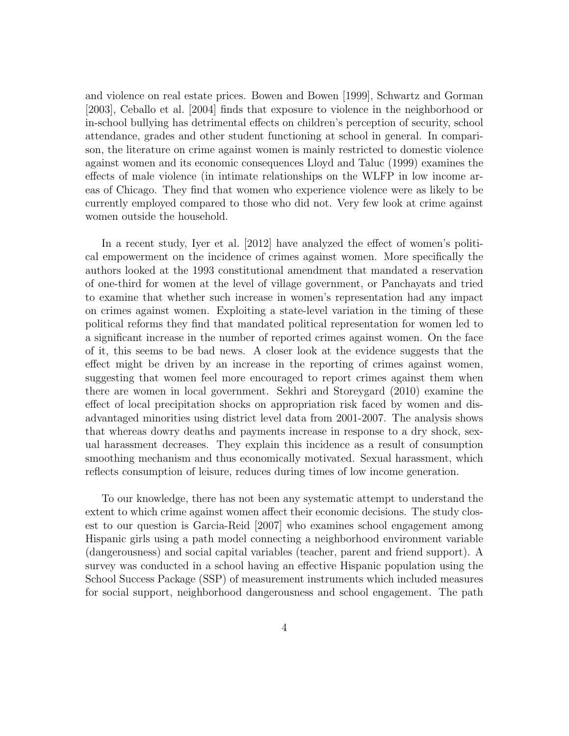and violence on real estate prices. Bowen and Bowen [1999], Schwartz and Gorman [2003], Ceballo et al. [2004] finds that exposure to violence in the neighborhood or in-school bullying has detrimental effects on children's perception of security, school attendance, grades and other student functioning at school in general. In comparison, the literature on crime against women is mainly restricted to domestic violence against women and its economic consequences Lloyd and Taluc (1999) examines the effects of male violence (in intimate relationships on the WLFP in low income areas of Chicago. They find that women who experience violence were as likely to be currently employed compared to those who did not. Very few look at crime against women outside the household.

In a recent study, Iyer et al. [2012] have analyzed the effect of women's political empowerment on the incidence of crimes against women. More specifically the authors looked at the 1993 constitutional amendment that mandated a reservation of one-third for women at the level of village government, or Panchayats and tried to examine that whether such increase in women's representation had any impact on crimes against women. Exploiting a state-level variation in the timing of these political reforms they find that mandated political representation for women led to a significant increase in the number of reported crimes against women. On the face of it, this seems to be bad news. A closer look at the evidence suggests that the effect might be driven by an increase in the reporting of crimes against women, suggesting that women feel more encouraged to report crimes against them when there are women in local government. Sekhri and Storeygard (2010) examine the effect of local precipitation shocks on appropriation risk faced by women and disadvantaged minorities using district level data from 2001-2007. The analysis shows that whereas dowry deaths and payments increase in response to a dry shock, sexual harassment decreases. They explain this incidence as a result of consumption smoothing mechanism and thus economically motivated. Sexual harassment, which reflects consumption of leisure, reduces during times of low income generation.

To our knowledge, there has not been any systematic attempt to understand the extent to which crime against women affect their economic decisions. The study closest to our question is Garcia-Reid [2007] who examines school engagement among Hispanic girls using a path model connecting a neighborhood environment variable (dangerousness) and social capital variables (teacher, parent and friend support). A survey was conducted in a school having an effective Hispanic population using the School Success Package (SSP) of measurement instruments which included measures for social support, neighborhood dangerousness and school engagement. The path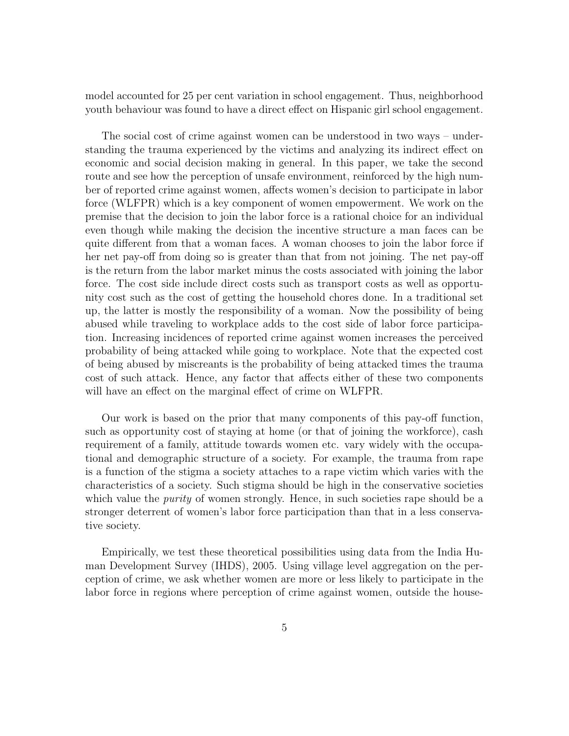model accounted for 25 per cent variation in school engagement. Thus, neighborhood youth behaviour was found to have a direct effect on Hispanic girl school engagement.

The social cost of crime against women can be understood in two ways – understanding the trauma experienced by the victims and analyzing its indirect effect on economic and social decision making in general. In this paper, we take the second route and see how the perception of unsafe environment, reinforced by the high number of reported crime against women, affects women's decision to participate in labor force (WLFPR) which is a key component of women empowerment. We work on the premise that the decision to join the labor force is a rational choice for an individual even though while making the decision the incentive structure a man faces can be quite different from that a woman faces. A woman chooses to join the labor force if her net pay-off from doing so is greater than that from not joining. The net pay-off is the return from the labor market minus the costs associated with joining the labor force. The cost side include direct costs such as transport costs as well as opportunity cost such as the cost of getting the household chores done. In a traditional set up, the latter is mostly the responsibility of a woman. Now the possibility of being abused while traveling to workplace adds to the cost side of labor force participation. Increasing incidences of reported crime against women increases the perceived probability of being attacked while going to workplace. Note that the expected cost of being abused by miscreants is the probability of being attacked times the trauma cost of such attack. Hence, any factor that affects either of these two components will have an effect on the marginal effect of crime on WLFPR.

Our work is based on the prior that many components of this pay-off function, such as opportunity cost of staying at home (or that of joining the workforce), cash requirement of a family, attitude towards women etc. vary widely with the occupational and demographic structure of a society. For example, the trauma from rape is a function of the stigma a society attaches to a rape victim which varies with the characteristics of a society. Such stigma should be high in the conservative societies which value the *purity* of women strongly. Hence, in such societies rape should be a stronger deterrent of women's labor force participation than that in a less conservative society.

Empirically, we test these theoretical possibilities using data from the India Human Development Survey (IHDS), 2005. Using village level aggregation on the perception of crime, we ask whether women are more or less likely to participate in the labor force in regions where perception of crime against women, outside the house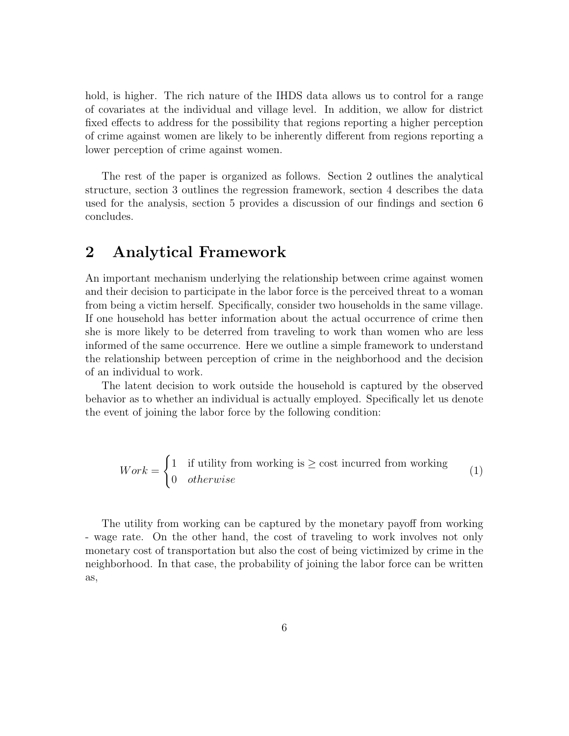hold, is higher. The rich nature of the IHDS data allows us to control for a range of covariates at the individual and village level. In addition, we allow for district fixed effects to address for the possibility that regions reporting a higher perception of crime against women are likely to be inherently different from regions reporting a lower perception of crime against women.

The rest of the paper is organized as follows. Section 2 outlines the analytical structure, section 3 outlines the regression framework, section 4 describes the data used for the analysis, section 5 provides a discussion of our findings and section 6 concludes.

### 2 Analytical Framework

An important mechanism underlying the relationship between crime against women and their decision to participate in the labor force is the perceived threat to a woman from being a victim herself. Specifically, consider two households in the same village. If one household has better information about the actual occurrence of crime then she is more likely to be deterred from traveling to work than women who are less informed of the same occurrence. Here we outline a simple framework to understand the relationship between perception of crime in the neighborhood and the decision of an individual to work.

The latent decision to work outside the household is captured by the observed behavior as to whether an individual is actually employed. Specifically let us denote the event of joining the labor force by the following condition:

$$
Work = \begin{cases} 1 & \text{if utility from working is } \ge \text{cost incurred from working} \\ 0 & otherwise \end{cases}
$$
 (1)

The utility from working can be captured by the monetary payoff from working - wage rate. On the other hand, the cost of traveling to work involves not only monetary cost of transportation but also the cost of being victimized by crime in the neighborhood. In that case, the probability of joining the labor force can be written as,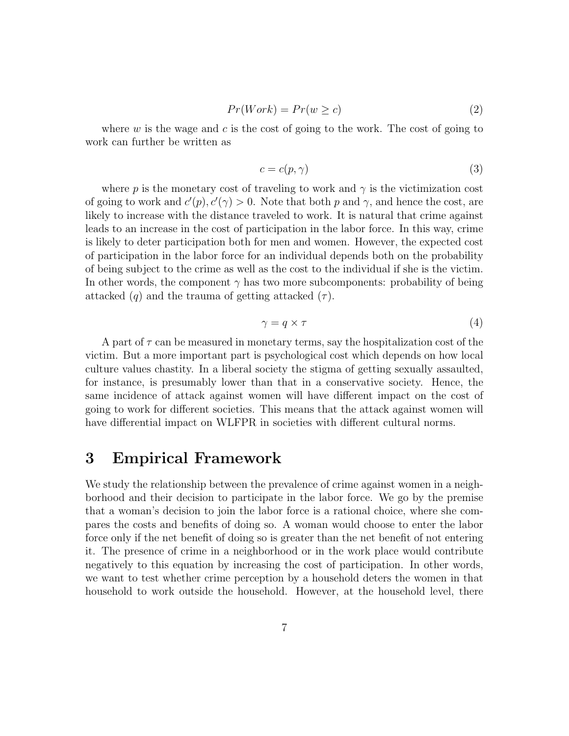$$
Pr(Work) = Pr(w \ge c)
$$
\n<sup>(2)</sup>

where  $w$  is the wage and  $c$  is the cost of going to the work. The cost of going to work can further be written as

$$
c = c(p, \gamma) \tag{3}
$$

where p is the monetary cost of traveling to work and  $\gamma$  is the victimization cost of going to work and  $c'(p), c'(\gamma) > 0$ . Note that both p and  $\gamma$ , and hence the cost, are likely to increase with the distance traveled to work. It is natural that crime against leads to an increase in the cost of participation in the labor force. In this way, crime is likely to deter participation both for men and women. However, the expected cost of participation in the labor force for an individual depends both on the probability of being subject to the crime as well as the cost to the individual if she is the victim. In other words, the component  $\gamma$  has two more subcomponents: probability of being attacked  $(q)$  and the trauma of getting attacked  $(\tau)$ .

$$
\gamma = q \times \tau \tag{4}
$$

A part of  $\tau$  can be measured in monetary terms, say the hospitalization cost of the victim. But a more important part is psychological cost which depends on how local culture values chastity. In a liberal society the stigma of getting sexually assaulted, for instance, is presumably lower than that in a conservative society. Hence, the same incidence of attack against women will have different impact on the cost of going to work for different societies. This means that the attack against women will have differential impact on WLFPR in societies with different cultural norms.

### 3 Empirical Framework

We study the relationship between the prevalence of crime against women in a neighborhood and their decision to participate in the labor force. We go by the premise that a woman's decision to join the labor force is a rational choice, where she compares the costs and benefits of doing so. A woman would choose to enter the labor force only if the net benefit of doing so is greater than the net benefit of not entering it. The presence of crime in a neighborhood or in the work place would contribute negatively to this equation by increasing the cost of participation. In other words, we want to test whether crime perception by a household deters the women in that household to work outside the household. However, at the household level, there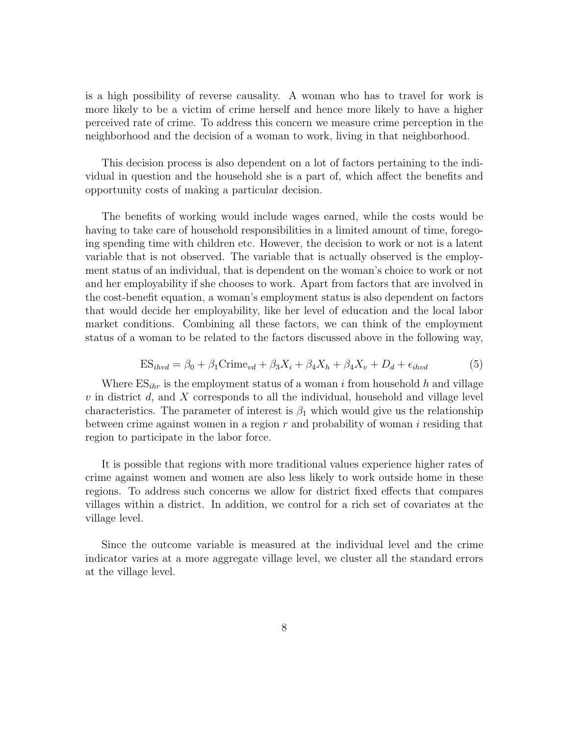is a high possibility of reverse causality. A woman who has to travel for work is more likely to be a victim of crime herself and hence more likely to have a higher perceived rate of crime. To address this concern we measure crime perception in the neighborhood and the decision of a woman to work, living in that neighborhood.

This decision process is also dependent on a lot of factors pertaining to the individual in question and the household she is a part of, which affect the benefits and opportunity costs of making a particular decision.

The benefits of working would include wages earned, while the costs would be having to take care of household responsibilities in a limited amount of time, foregoing spending time with children etc. However, the decision to work or not is a latent variable that is not observed. The variable that is actually observed is the employment status of an individual, that is dependent on the woman's choice to work or not and her employability if she chooses to work. Apart from factors that are involved in the cost-benefit equation, a woman's employment status is also dependent on factors that would decide her employability, like her level of education and the local labor market conditions. Combining all these factors, we can think of the employment status of a woman to be related to the factors discussed above in the following way,

$$
ES_{ihvd} = \beta_0 + \beta_1 \text{Crime}_{vd} + \beta_3 X_i + \beta_4 X_h + \beta_4 X_v + D_d + \epsilon_{ihvd}
$$
(5)

Where  $ES_{thr}$  is the employment status of a woman i from household h and village  $v$  in district  $d$ , and  $X$  corresponds to all the individual, household and village level characteristics. The parameter of interest is  $\beta_1$  which would give us the relationship between crime against women in a region  $r$  and probability of woman  $i$  residing that region to participate in the labor force.

It is possible that regions with more traditional values experience higher rates of crime against women and women are also less likely to work outside home in these regions. To address such concerns we allow for district fixed effects that compares villages within a district. In addition, we control for a rich set of covariates at the village level.

Since the outcome variable is measured at the individual level and the crime indicator varies at a more aggregate village level, we cluster all the standard errors at the village level.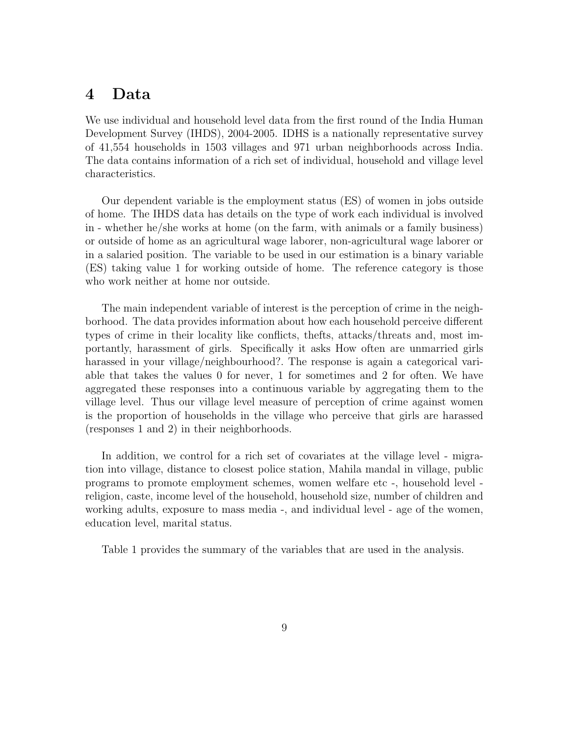### 4 Data

We use individual and household level data from the first round of the India Human Development Survey (IHDS), 2004-2005. IDHS is a nationally representative survey of 41,554 households in 1503 villages and 971 urban neighborhoods across India. The data contains information of a rich set of individual, household and village level characteristics.

Our dependent variable is the employment status (ES) of women in jobs outside of home. The IHDS data has details on the type of work each individual is involved in - whether he/she works at home (on the farm, with animals or a family business) or outside of home as an agricultural wage laborer, non-agricultural wage laborer or in a salaried position. The variable to be used in our estimation is a binary variable (ES) taking value 1 for working outside of home. The reference category is those who work neither at home nor outside.

The main independent variable of interest is the perception of crime in the neighborhood. The data provides information about how each household perceive different types of crime in their locality like conflicts, thefts, attacks/threats and, most importantly, harassment of girls. Specifically it asks How often are unmarried girls harassed in your village/neighbourhood?. The response is again a categorical variable that takes the values 0 for never, 1 for sometimes and 2 for often. We have aggregated these responses into a continuous variable by aggregating them to the village level. Thus our village level measure of perception of crime against women is the proportion of households in the village who perceive that girls are harassed (responses 1 and 2) in their neighborhoods.

In addition, we control for a rich set of covariates at the village level - migration into village, distance to closest police station, Mahila mandal in village, public programs to promote employment schemes, women welfare etc -, household level religion, caste, income level of the household, household size, number of children and working adults, exposure to mass media -, and individual level - age of the women, education level, marital status.

Table 1 provides the summary of the variables that are used in the analysis.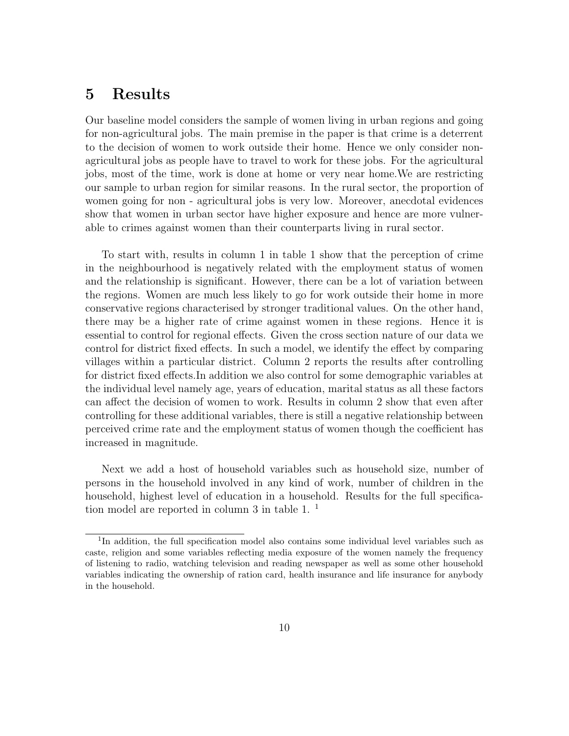# 5 Results

Our baseline model considers the sample of women living in urban regions and going for non-agricultural jobs. The main premise in the paper is that crime is a deterrent to the decision of women to work outside their home. Hence we only consider nonagricultural jobs as people have to travel to work for these jobs. For the agricultural jobs, most of the time, work is done at home or very near home.We are restricting our sample to urban region for similar reasons. In the rural sector, the proportion of women going for non - agricultural jobs is very low. Moreover, anecdotal evidences show that women in urban sector have higher exposure and hence are more vulnerable to crimes against women than their counterparts living in rural sector.

To start with, results in column 1 in table 1 show that the perception of crime in the neighbourhood is negatively related with the employment status of women and the relationship is significant. However, there can be a lot of variation between the regions. Women are much less likely to go for work outside their home in more conservative regions characterised by stronger traditional values. On the other hand, there may be a higher rate of crime against women in these regions. Hence it is essential to control for regional effects. Given the cross section nature of our data we control for district fixed effects. In such a model, we identify the effect by comparing villages within a particular district. Column 2 reports the results after controlling for district fixed effects.In addition we also control for some demographic variables at the individual level namely age, years of education, marital status as all these factors can affect the decision of women to work. Results in column 2 show that even after controlling for these additional variables, there is still a negative relationship between perceived crime rate and the employment status of women though the coefficient has increased in magnitude.

Next we add a host of household variables such as household size, number of persons in the household involved in any kind of work, number of children in the household, highest level of education in a household. Results for the full specification model are reported in column 3 in table 1. <sup>1</sup>

<sup>&</sup>lt;sup>1</sup>In addition, the full specification model also contains some individual level variables such as caste, religion and some variables reflecting media exposure of the women namely the frequency of listening to radio, watching television and reading newspaper as well as some other household variables indicating the ownership of ration card, health insurance and life insurance for anybody in the household.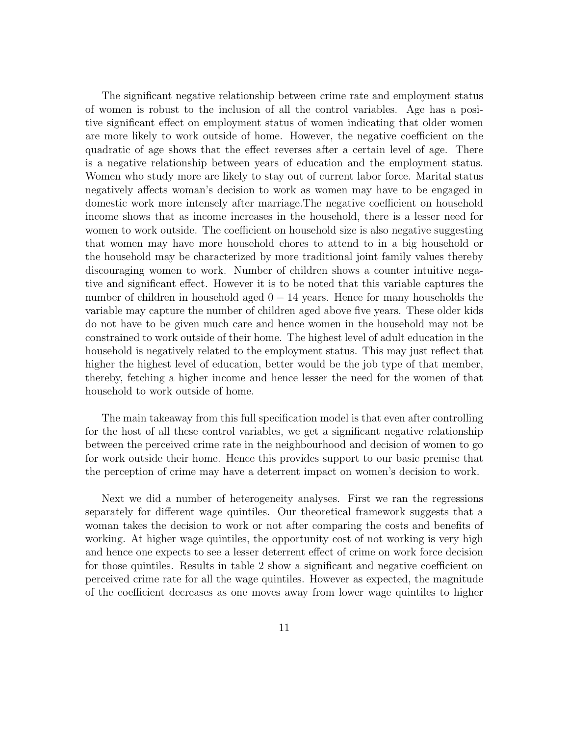The significant negative relationship between crime rate and employment status of women is robust to the inclusion of all the control variables. Age has a positive significant effect on employment status of women indicating that older women are more likely to work outside of home. However, the negative coefficient on the quadratic of age shows that the effect reverses after a certain level of age. There is a negative relationship between years of education and the employment status. Women who study more are likely to stay out of current labor force. Marital status negatively affects woman's decision to work as women may have to be engaged in domestic work more intensely after marriage.The negative coefficient on household income shows that as income increases in the household, there is a lesser need for women to work outside. The coefficient on household size is also negative suggesting that women may have more household chores to attend to in a big household or the household may be characterized by more traditional joint family values thereby discouraging women to work. Number of children shows a counter intuitive negative and significant effect. However it is to be noted that this variable captures the number of children in household aged  $0 - 14$  years. Hence for many households the variable may capture the number of children aged above five years. These older kids do not have to be given much care and hence women in the household may not be constrained to work outside of their home. The highest level of adult education in the household is negatively related to the employment status. This may just reflect that higher the highest level of education, better would be the job type of that member, thereby, fetching a higher income and hence lesser the need for the women of that household to work outside of home.

The main takeaway from this full specification model is that even after controlling for the host of all these control variables, we get a significant negative relationship between the perceived crime rate in the neighbourhood and decision of women to go for work outside their home. Hence this provides support to our basic premise that the perception of crime may have a deterrent impact on women's decision to work.

Next we did a number of heterogeneity analyses. First we ran the regressions separately for different wage quintiles. Our theoretical framework suggests that a woman takes the decision to work or not after comparing the costs and benefits of working. At higher wage quintiles, the opportunity cost of not working is very high and hence one expects to see a lesser deterrent effect of crime on work force decision for those quintiles. Results in table 2 show a significant and negative coefficient on perceived crime rate for all the wage quintiles. However as expected, the magnitude of the coefficient decreases as one moves away from lower wage quintiles to higher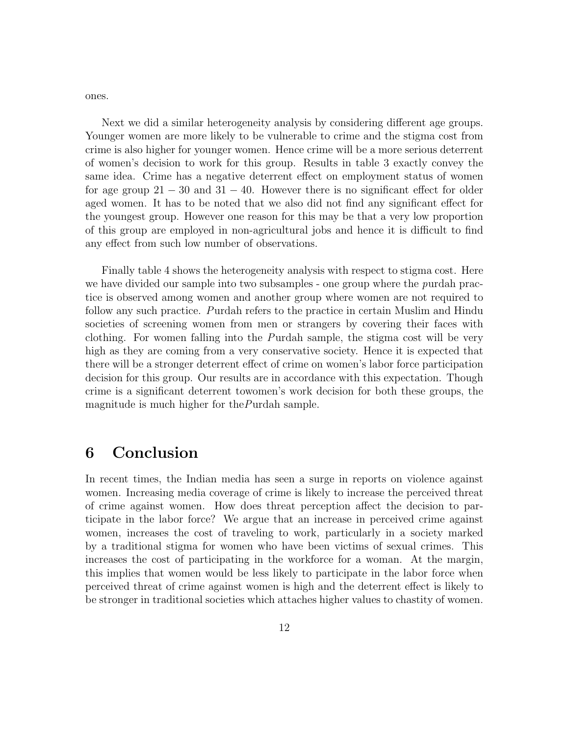ones.

Next we did a similar heterogeneity analysis by considering different age groups. Younger women are more likely to be vulnerable to crime and the stigma cost from crime is also higher for younger women. Hence crime will be a more serious deterrent of women's decision to work for this group. Results in table 3 exactly convey the same idea. Crime has a negative deterrent effect on employment status of women for age group  $21 - 30$  and  $31 - 40$ . However there is no significant effect for older aged women. It has to be noted that we also did not find any significant effect for the youngest group. However one reason for this may be that a very low proportion of this group are employed in non-agricultural jobs and hence it is difficult to find any effect from such low number of observations.

Finally table 4 shows the heterogeneity analysis with respect to stigma cost. Here we have divided our sample into two subsamples - one group where the purdah practice is observed among women and another group where women are not required to follow any such practice. Purdah refers to the practice in certain Muslim and Hindu societies of screening women from men or strangers by covering their faces with clothing. For women falling into the Purdah sample, the stigma cost will be very high as they are coming from a very conservative society. Hence it is expected that there will be a stronger deterrent effect of crime on women's labor force participation decision for this group. Our results are in accordance with this expectation. Though crime is a significant deterrent towomen's work decision for both these groups, the magnitude is much higher for thePurdah sample.

# 6 Conclusion

In recent times, the Indian media has seen a surge in reports on violence against women. Increasing media coverage of crime is likely to increase the perceived threat of crime against women. How does threat perception affect the decision to participate in the labor force? We argue that an increase in perceived crime against women, increases the cost of traveling to work, particularly in a society marked by a traditional stigma for women who have been victims of sexual crimes. This increases the cost of participating in the workforce for a woman. At the margin, this implies that women would be less likely to participate in the labor force when perceived threat of crime against women is high and the deterrent effect is likely to be stronger in traditional societies which attaches higher values to chastity of women.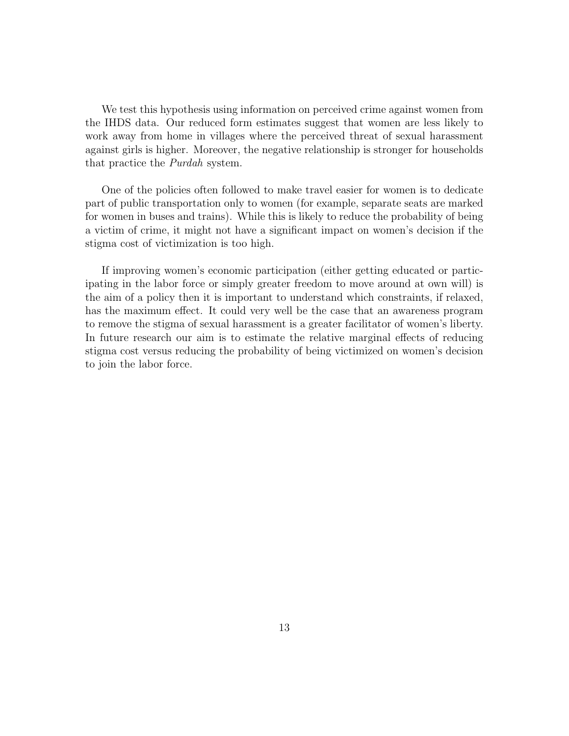We test this hypothesis using information on perceived crime against women from the IHDS data. Our reduced form estimates suggest that women are less likely to work away from home in villages where the perceived threat of sexual harassment against girls is higher. Moreover, the negative relationship is stronger for households that practice the Purdah system.

One of the policies often followed to make travel easier for women is to dedicate part of public transportation only to women (for example, separate seats are marked for women in buses and trains). While this is likely to reduce the probability of being a victim of crime, it might not have a significant impact on women's decision if the stigma cost of victimization is too high.

If improving women's economic participation (either getting educated or participating in the labor force or simply greater freedom to move around at own will) is the aim of a policy then it is important to understand which constraints, if relaxed, has the maximum effect. It could very well be the case that an awareness program to remove the stigma of sexual harassment is a greater facilitator of women's liberty. In future research our aim is to estimate the relative marginal effects of reducing stigma cost versus reducing the probability of being victimized on women's decision to join the labor force.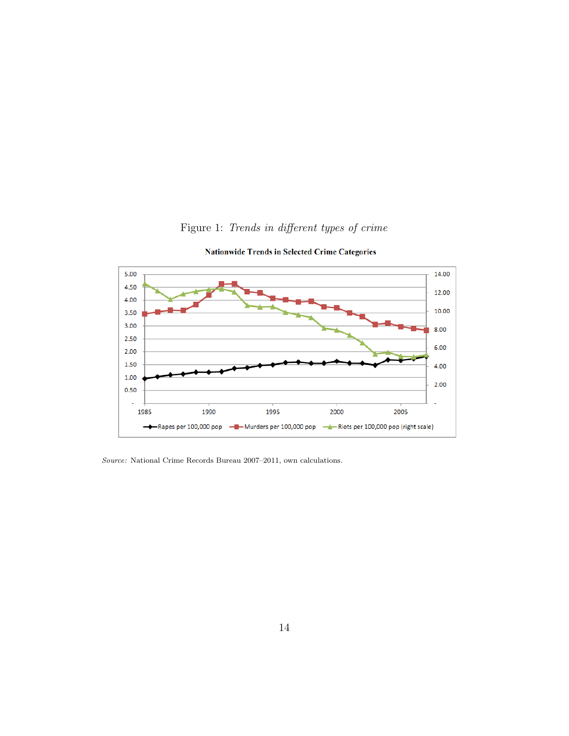

Figure 1: Trends in different types of crime

**Nationwide Trends in Selected Crime Categories** 

Source: National Crime Records Bureau 2007–2011, own calculations.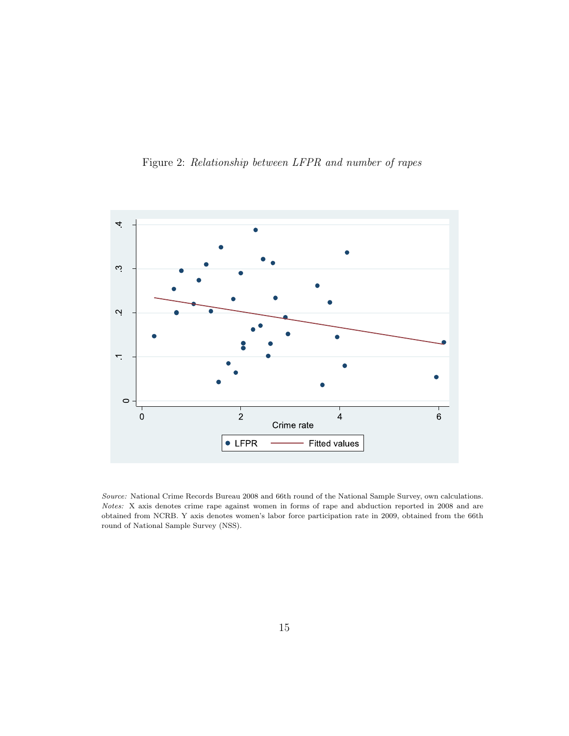



Source: National Crime Records Bureau 2008 and 66th round of the National Sample Survey, own calculations. Notes: X axis denotes crime rape against women in forms of rape and abduction reported in 2008 and are obtained from NCRB. Y axis denotes women's labor force participation rate in 2009, obtained from the 66th round of National Sample Survey (NSS).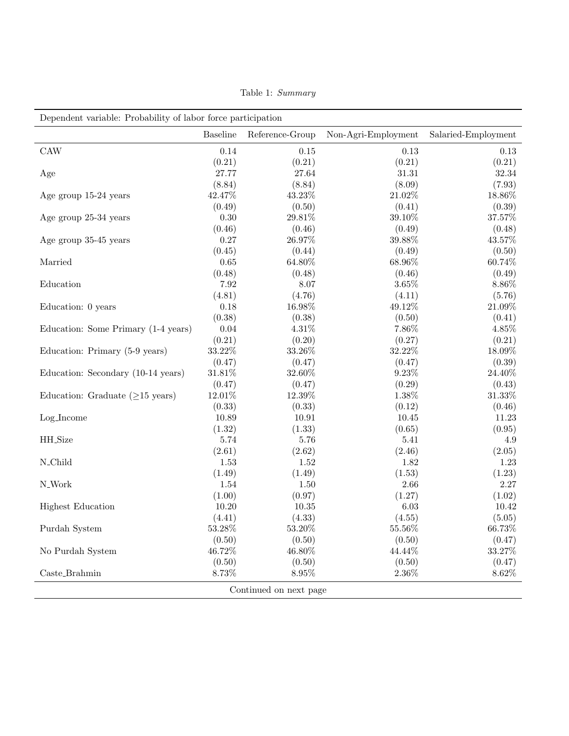|                                               | <b>Baseline</b> | Reference-Group        | Non-Agri-Employment | Salaried-Employment |
|-----------------------------------------------|-----------------|------------------------|---------------------|---------------------|
| CAW                                           | 0.14            | 0.15                   | 0.13                | 0.13                |
|                                               | (0.21)          | (0.21)                 | (0.21)              | (0.21)              |
| Age                                           | 27.77           | 27.64                  | 31.31               | 32.34               |
|                                               | (8.84)          | (8.84)                 | (8.09)              | (7.93)              |
| Age group 15-24 years                         | 42.47%          | 43.23%                 | $21.02\%$           | 18.86%              |
|                                               | (0.49)          | (0.50)                 | (0.41)              | (0.39)              |
| Age group 25-34 years                         | 0.30            | 29.81%                 | 39.10%              | 37.57%              |
|                                               | (0.46)          | (0.46)                 | (0.49)              | (0.48)              |
| Age group 35-45 years                         | 0.27            | 26.97%                 | 39.88%              | 43.57%              |
|                                               | (0.45)          | (0.44)                 | (0.49)              | (0.50)              |
| Married                                       | $0.65\,$        | 64.80%                 | 68.96%              | 60.74%              |
|                                               | (0.48)          | (0.48)                 | (0.46)              | (0.49)              |
| Education                                     | 7.92            | 8.07                   | $3.65\%$            | 8.86%               |
|                                               | (4.81)          | (4.76)                 | (4.11)              | (5.76)              |
| Education: 0 years                            | 0.18            | 16.98%                 | 49.12%              | $21.09\%$           |
|                                               | (0.38)          | (0.38)                 | (0.50)              | (0.41)              |
| Education: Some Primary (1-4 years)           | 0.04            | 4.31%                  | 7.86%               | 4.85%               |
|                                               | (0.21)          | (0.20)                 | (0.27)              | (0.21)              |
| Education: Primary (5-9 years)                | $33.22\%$       | 33.26%                 | 32.22%              | 18.09%              |
|                                               | (0.47)          | (0.47)                 | (0.47)              | (0.39)              |
| Education: Secondary (10-14 years)            | $31.81\%$       | 32.60%                 | 9.23%               | 24.40%              |
|                                               | (0.47)          | (0.47)                 | (0.29)              | (0.43)              |
| Education: Graduate $(\geq 15 \text{ years})$ | $12.01\%$       | $12.39\%$              | $1.38\%$            | $31.33\%$           |
|                                               | (0.33)          | (0.33)                 | (0.12)              | (0.46)              |
| Log_Income                                    | 10.89           | 10.91                  | 10.45               | 11.23               |
|                                               | (1.32)          | (1.33)                 | (0.65)              | (0.95)              |
| HH_Size                                       | 5.74            | 5.76                   | 5.41                | 4.9                 |
|                                               | (2.61)          | (2.62)                 | (2.46)              | (2.05)              |
| N_Child                                       | 1.53            | 1.52                   | 1.82                | 1.23                |
|                                               | (1.49)          | (1.49)                 | (1.53)              | (1.23)              |
| $\rm N\_Work$                                 | 1.54            | 1.50                   | 2.66                | 2.27                |
|                                               | (1.00)          | (0.97)                 | (1.27)              | (1.02)              |
| <b>Highest Education</b>                      | 10.20           | 10.35                  | 6.03                | 10.42               |
|                                               | (4.41)          | (4.33)                 | (4.55)              | (5.05)              |
| Purdah System                                 | 53.28%          | $53.20\%$              | 55.56%              | 66.73%              |
|                                               | (0.50)          | (0.50)                 | (0.50)              | (0.47)              |
| No Purdah System                              | 46.72%          | 46.80%                 | 44.44%              | $33.27\%$           |
|                                               | (0.50)          | (0.50)                 | (0.50)              | (0.47)              |
| $\operatorname{Caste\_Brahmin}$               | 8.73%           | $8.95\%$               | $2.36\%$            | $8.62\%$            |
|                                               |                 | Continued on next page |                     |                     |

Table 1: Summary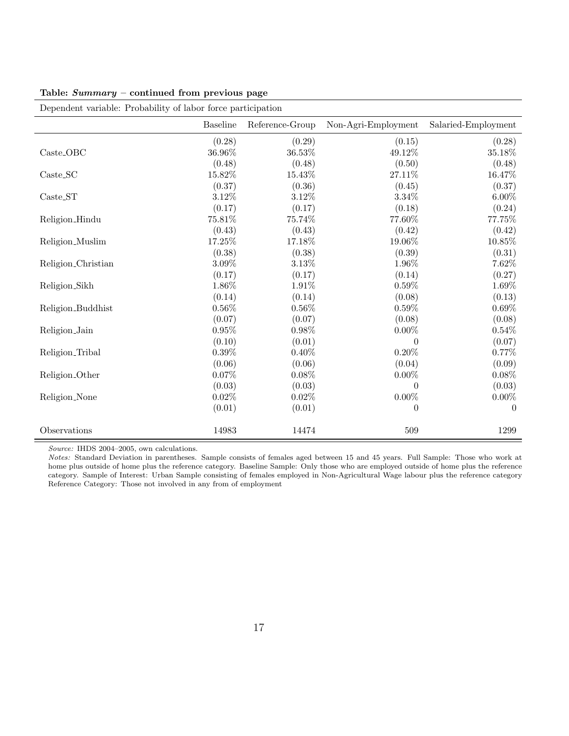Table: Summary – continued from previous page

| Dependent variable: Probability of labor force participation |                 |                 |                     |                     |  |
|--------------------------------------------------------------|-----------------|-----------------|---------------------|---------------------|--|
|                                                              | <b>Baseline</b> | Reference-Group | Non-Agri-Employment | Salaried-Employment |  |
|                                                              | (0.28)          | (0.29)          | (0.15)              | (0.28)              |  |
| $\operatorname{Case-OBC}$                                    | 36.96%          | 36.53%          | 49.12%              | 35.18%              |  |
|                                                              | (0.48)          | (0.48)          | (0.50)              | (0.48)              |  |
| $\text{Caste}\_\text{SC}$                                    | 15.82%          | 15.43%          | 27.11%              | 16.47%              |  |
|                                                              | (0.37)          | (0.36)          | (0.45)              | (0.37)              |  |
| $\text{Caste}\_\text{ST}$                                    | 3.12%           | $3.12\%$        | 3.34%               | $6.00\%$            |  |
|                                                              | (0.17)          | (0.17)          | (0.18)              | (0.24)              |  |
| Religion_Hindu                                               | 75.81%          | 75.74%          | 77.60%              | 77.75%              |  |
|                                                              | (0.43)          | (0.43)          | (0.42)              | (0.42)              |  |
| Religion_Muslim                                              | 17.25%          | 17.18%          | 19.06%              | 10.85%              |  |
|                                                              | (0.38)          | (0.38)          | (0.39)              | (0.31)              |  |
| Religion_Christian                                           | $3.09\%$        | $3.13\%$        | 1.96\%              | 7.62%               |  |
|                                                              | (0.17)          | (0.17)          | (0.14)              | (0.27)              |  |
| Religion_Sikh                                                | 1.86%           | 1.91%           | 0.59%               | 1.69%               |  |
|                                                              | (0.14)          | (0.14)          | (0.08)              | (0.13)              |  |
| Religion_Buddhist                                            | $0.56\%$        | $0.56\%$        | 0.59%               | 0.69%               |  |
|                                                              | (0.07)          | (0.07)          | (0.08)              | (0.08)              |  |
| Religion_Jain                                                | 0.95%           | 0.98%           | $0.00\%$            | 0.54%               |  |
|                                                              | (0.10)          | (0.01)          | $\theta$            | (0.07)              |  |
| Religion_Tribal                                              | $0.39\%$        | $0.40\%$        | $0.20\%$            | 0.77%               |  |
|                                                              | (0.06)          | (0.06)          | (0.04)              | (0.09)              |  |
| Religion_Other                                               | $0.07\%$        | $0.08\%$        | $0.00\%$            | $0.08\%$            |  |
|                                                              | (0.03)          | (0.03)          | $\theta$            | (0.03)              |  |
| Religion_None                                                | $0.02\%$        | $0.02\%$        | $0.00\%$            | $0.00\%$            |  |
|                                                              | (0.01)          | (0.01)          | $\theta$            | $\theta$            |  |
| Observations                                                 | 14983           | 14474           | 509                 | 1299                |  |

Source: IHDS 2004-2005, own calculations.

Notes: Standard Deviation in parentheses. Sample consists of females aged between 15 and 45 years. Full Sample: Those who work at home plus outside of home plus the reference category. Baseline Sample: Only those who are employed outside of home plus the reference category. Sample of Interest: Urban Sample consisting of females employed in Non-Agricultural Wage labour plus the reference category Reference Category: Those not involved in any from of employment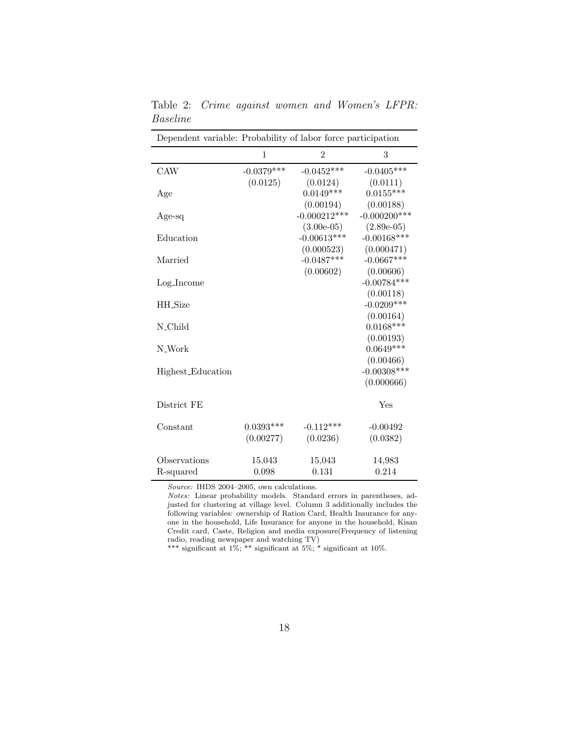| Dependent variable: Probability of labor force participation |              |                |                 |
|--------------------------------------------------------------|--------------|----------------|-----------------|
|                                                              | 1            | $\overline{2}$ | 3               |
| <b>CAW</b>                                                   | $-0.0379***$ | $-0.0452***$   | $-0.0405***$    |
|                                                              | (0.0125)     | (0.0124)       | (0.0111)        |
| Age                                                          |              | $0.0149***$    | $0.0155***$     |
|                                                              |              | (0.00194)      | (0.00188)       |
| Age-sq                                                       |              | $-0.000212***$ | $-0.000200$ *** |
|                                                              |              | $(3.00e-05)$   | $(2.89e-05)$    |
| Education                                                    |              | $-0.00613***$  | $-0.00168$ ***  |
|                                                              |              | (0.000523)     | (0.000471)      |
| Married                                                      |              | $-0.0487***$   | $-0.0667***$    |
|                                                              |              | (0.00602)      | (0.00606)       |
| Log_Income                                                   |              |                | $-0.00784***$   |
|                                                              |              |                | (0.00118)       |
| HH_Size                                                      |              |                | $-0.0209***$    |
|                                                              |              |                | (0.00164)       |
| N_Child                                                      |              |                | $0.0168***$     |
|                                                              |              |                | (0.00193)       |
| N_Work                                                       |              |                | $0.0649***$     |
|                                                              |              |                | (0.00466)       |
| Highest_Education                                            |              |                | $-0.00308***$   |
|                                                              |              |                | (0.000666)      |
| District FE                                                  |              |                | Yes             |
| Constant                                                     | $0.0393***$  | $-0.112***$    | $-0.00492$      |
|                                                              | (0.00277)    | (0.0236)       | (0.0382)        |
|                                                              |              |                |                 |
| Observations                                                 | 15,043       | 15,043         | 14,983          |
| R-squared                                                    | 0.098        | 0.131          | 0.214           |

Table 2: Crime against women and Women's LFPR: Baseline

Source: IHDS 2004-2005, own calculations.

Notes: Linear probability models. Standard errors in parentheses, adjusted for clustering at village level. Column 3 additionally includes the following variables: ownership of Ration Card, Health Insurance for anyone in the household, Life Insurance for anyone in the household, Kisan Credit card, Caste, Religion and media exposure(Frequency of listening radio, reading newspaper and watching TV)

\*\*\* significant at  $1\%$ ; \*\* significant at  $5\%$ ; \* significant at  $10\%$ .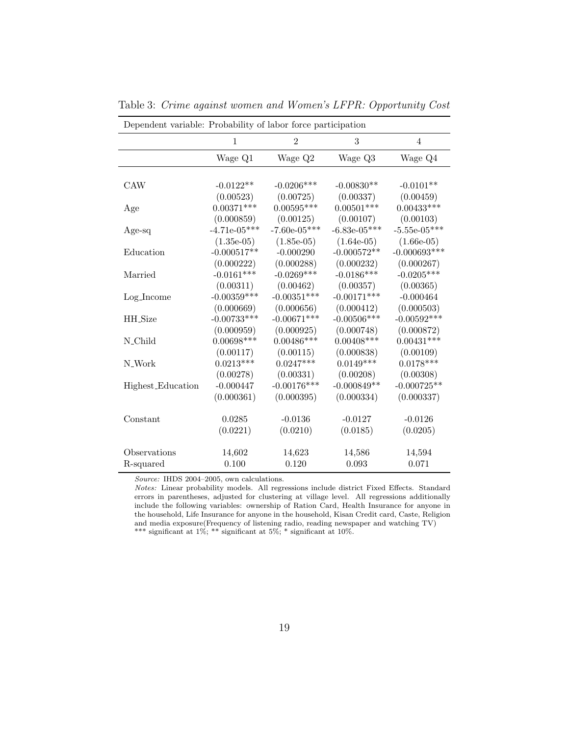| Dependent variable: Probability of labor force participation |                |                |                |                |
|--------------------------------------------------------------|----------------|----------------|----------------|----------------|
|                                                              | $\mathbf{1}$   | $\overline{2}$ | 3              | $\overline{4}$ |
|                                                              | Wage Q1        | Wage Q2        | Wage Q3        | Wage Q4        |
|                                                              |                |                |                |                |
| <b>CAW</b>                                                   | $-0.0122**$    | $-0.0206***$   | $-0.00830**$   | $-0.0101**$    |
|                                                              | (0.00523)      | (0.00725)      | (0.00337)      | (0.00459)      |
| Age                                                          | $0.00371***$   | $0.00595***$   | $0.00501***$   | $0.00433***$   |
|                                                              | (0.000859)     | (0.00125)      | (0.00107)      | (0.00103)      |
| Age-sq                                                       | $-4.71e-05***$ | $-7.60e-05***$ | $-6.83e-05***$ | $-5.55e-05***$ |
|                                                              | $(1.35e-05)$   | $(1.85e-05)$   | $(1.64e-05)$   | $(1.66e-05)$   |
| Education                                                    | $-0.000517**$  | $-0.000290$    | $-0.000572**$  | $-0.000693***$ |
|                                                              | (0.000222)     | (0.000288)     | (0.000232)     | (0.000267)     |
| Married                                                      | $-0.0161***$   | $-0.0269***$   | $-0.0186***$   | $-0.0205***$   |
|                                                              | (0.00311)      | (0.00462)      | (0.00357)      | (0.00365)      |
| $Log-Income$                                                 | $-0.00359***$  | $-0.00351***$  | $-0.00171***$  | $-0.000464$    |
|                                                              | (0.000669)     | (0.000656)     | (0.000412)     | (0.000503)     |
| <b>HH_Size</b>                                               | $-0.00733***$  | $-0.00671***$  | $-0.00506***$  | $-0.00592***$  |
|                                                              | (0.000959)     | (0.000925)     | (0.000748)     | (0.000872)     |
| N_Child                                                      | $0.00698***$   | $0.00486***$   | $0.00408***$   | $0.00431***$   |
|                                                              | (0.00117)      | (0.00115)      | (0.000838)     | (0.00109)      |
| N_Work                                                       | $0.0213***$    | $0.0247***$    | $0.0149***$    | $0.0178***$    |
|                                                              | (0.00278)      | (0.00331)      | (0.00208)      | (0.00308)      |
| Highest_Education                                            | $-0.000447$    | $-0.00176***$  | $-0.000849**$  | $-0.000725**$  |
|                                                              | (0.000361)     | (0.000395)     | (0.000334)     | (0.000337)     |
| Constant                                                     | 0.0285         | $-0.0136$      | $-0.0127$      | $-0.0126$      |
|                                                              | (0.0221)       | (0.0210)       | (0.0185)       | (0.0205)       |
| Observations                                                 | 14,602         | 14,623         | 14,586         | 14,594         |
| R-squared                                                    | 0.100          | 0.120          | 0.093          | 0.071          |

Table 3: Crime against women and Women's LFPR: Opportunity Cost

Source: IHDS 2004–2005, own calculations.

Notes: Linear probability models. All regressions include district Fixed Effects. Standard errors in parentheses, adjusted for clustering at village level. All regressions additionally include the following variables: ownership of Ration Card, Health Insurance for anyone in the household, Life Insurance for anyone in the household, Kisan Credit card, Caste, Religion and media exposure(Frequency of listening radio, reading newspaper and watching TV) \*\*\* significant at  $1\%$ ; \*\* significant at  $5\%$ ; \* significant at  $10\%$ .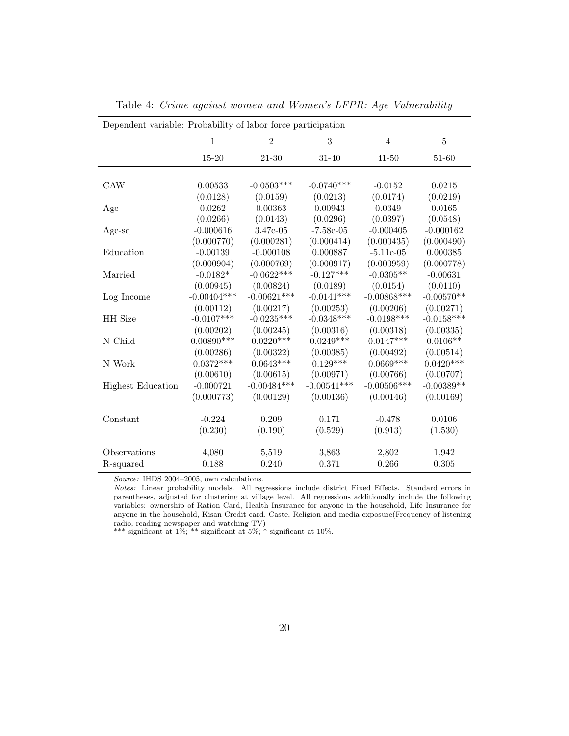| Dependent variable: Probability of labor force participation |               |                |               |                |              |
|--------------------------------------------------------------|---------------|----------------|---------------|----------------|--------------|
|                                                              | 1             | $\overline{2}$ | 3             | $\overline{4}$ | 5            |
|                                                              | $15 - 20$     | $21 - 30$      | $31 - 40$     | $41 - 50$      | 51-60        |
|                                                              |               |                |               |                |              |
| <b>CAW</b>                                                   | 0.00533       | $-0.0503***$   | $-0.0740***$  | $-0.0152$      | 0.0215       |
|                                                              | (0.0128)      | (0.0159)       | (0.0213)      | (0.0174)       | (0.0219)     |
| Age                                                          | 0.0262        | 0.00363        | 0.00943       | 0.0349         | 0.0165       |
|                                                              | (0.0266)      | (0.0143)       | (0.0296)      | (0.0397)       | (0.0548)     |
| Age-sq                                                       | $-0.000616$   | 3.47e-05       | $-7.58e-05$   | $-0.000405$    | $-0.000162$  |
|                                                              | (0.000770)    | (0.000281)     | (0.000414)    | (0.000435)     | (0.000490)   |
| Education                                                    | $-0.00139$    | $-0.000108$    | 0.000887      | $-5.11e-05$    | 0.000385     |
|                                                              | (0.000904)    | (0.000769)     | (0.000917)    | (0.000959)     | (0.000778)   |
| Married                                                      | $-0.0182*$    | $-0.0622***$   | $-0.127***$   | $-0.0305**$    | $-0.00631$   |
|                                                              | (0.00945)     | (0.00824)      | (0.0189)      | (0.0154)       | (0.0110)     |
| $Log-Income$                                                 | $-0.00404***$ | $-0.00621***$  | $-0.0141***$  | $-0.00868$ *** | $-0.00570**$ |
|                                                              | (0.00112)     | (0.00217)      | (0.00253)     | (0.00206)      | (0.00271)    |
| HH_Size                                                      | $-0.0107***$  | $-0.0235***$   | $-0.0348***$  | $-0.0198***$   | $-0.0158***$ |
|                                                              | (0.00202)     | (0.00245)      | (0.00316)     | (0.00318)      | (0.00335)    |
| N_Child                                                      | $0.00890***$  | $0.0220***$    | $0.0249***$   | $0.0147***$    | $0.0106**$   |
|                                                              | (0.00286)     | (0.00322)      | (0.00385)     | (0.00492)      | (0.00514)    |
| N_Work                                                       | $0.0372***$   | $0.0643***$    | $0.129***$    | $0.0669***$    | $0.0420***$  |
|                                                              | (0.00610)     | (0.00615)      | (0.00971)     | (0.00766)      | (0.00707)    |
| Highest_Education                                            | $-0.000721$   | $-0.00484***$  | $-0.00541***$ | $-0.00506***$  | $-0.00389**$ |
|                                                              | (0.000773)    | (0.00129)      | (0.00136)     | (0.00146)      | (0.00169)    |
| Constant                                                     | $-0.224$      | 0.209          | 0.171         | $-0.478$       | 0.0106       |
|                                                              | (0.230)       | (0.190)        | (0.529)       | (0.913)        | (1.530)      |
| Observations                                                 | 4,080         | 5,519          | 3,863         | 2,802          | 1,942        |
| R-squared                                                    | 0.188         | 0.240          | 0.371         | 0.266          | 0.305        |

Table 4: Crime against women and Women's LFPR: Age Vulnerability

Source: IHDS 2004-2005, own calculations.

Notes: Linear probability models. All regressions include district Fixed Effects. Standard errors in parentheses, adjusted for clustering at village level. All regressions additionally include the following variables: ownership of Ration Card, Health Insurance for anyone in the household, Life Insurance for anyone in the household, Kisan Credit card, Caste, Religion and media exposure(Frequency of listening radio, reading newspaper and watching TV)

\*\*\* significant at 1%; \*\* significant at 5%; \* significant at 10%.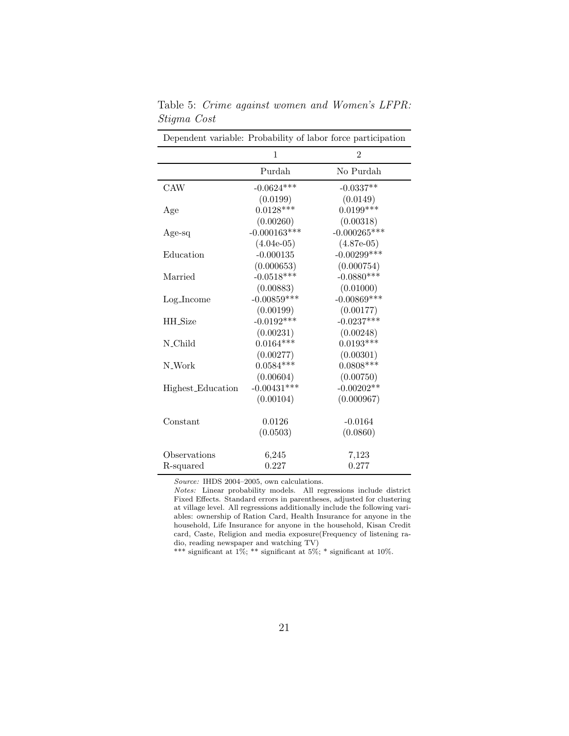| Dependent variable: Probability of labor force participation |                |                |  |
|--------------------------------------------------------------|----------------|----------------|--|
|                                                              | 1              | $\overline{2}$ |  |
|                                                              | Purdah         | No Purdah      |  |
| CAW                                                          | $-0.0624***$   | $-0.0337**$    |  |
|                                                              | (0.0199)       | (0.0149)       |  |
| Age                                                          | $0.0128***$    | $0.0199***$    |  |
|                                                              | (0.00260)      | (0.00318)      |  |
| Age-sq                                                       | $-0.000163***$ | $-0.000265***$ |  |
|                                                              | $(4.04e-05)$   | $(4.87e-05)$   |  |
| Education                                                    | $-0.000135$    | $-0.00299$ *** |  |
|                                                              | (0.000653)     | (0.000754)     |  |
| Married                                                      | $-0.0518***$   | $-0.0880***$   |  |
|                                                              | (0.00883)      | (0.01000)      |  |
| $Log-Income$                                                 | $-0.00859***$  | $-0.00869***$  |  |
|                                                              | (0.00199)      | (0.00177)      |  |
| HH_Size                                                      | $-0.0192***$   | $-0.0237***$   |  |
|                                                              | (0.00231)      | (0.00248)      |  |
| N_Child                                                      | $0.0164***$    | $0.0193***$    |  |
|                                                              | (0.00277)      | (0.00301)      |  |
| N_Work                                                       | $0.0584***$    | $0.0808***$    |  |
|                                                              | (0.00604)      | (0.00750)      |  |
| Highest_Education                                            | $-0.00431***$  | $-0.00202**$   |  |
|                                                              | (0.00104)      | (0.000967)     |  |
| Constant                                                     | 0.0126         | $-0.0164$      |  |
|                                                              | (0.0503)       | (0.0860)       |  |
|                                                              |                |                |  |
| Observations                                                 | 6,245          | 7,123          |  |
| R-squared                                                    | 0.227          | 0.277          |  |

Table 5: Crime against women and Women's LFPR: Stigma Cost

Source: IHDS 2004–2005, own calculations.

Notes: Linear probability models. All regressions include district Fixed Effects. Standard errors in parentheses, adjusted for clustering at village level. All regressions additionally include the following variables: ownership of Ration Card, Health Insurance for anyone in the household, Life Insurance for anyone in the household, Kisan Credit card, Caste, Religion and media exposure(Frequency of listening radio, reading newspaper and watching TV)

\*\*\* significant at 1%; \*\* significant at 5%; \* significant at 10%.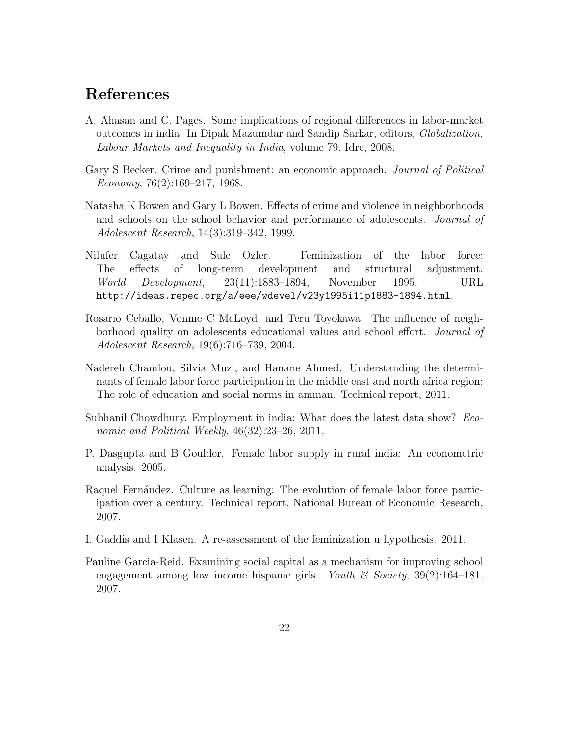# References

- A. Ahasan and C. Pages. Some implications of regional differences in labor-market outcomes in india. In Dipak Mazumdar and Sandip Sarkar, editors, Globalization, Labour Markets and Inequality in India, volume 79. Idrc, 2008.
- Gary S Becker. Crime and punishment: an economic approach. *Journal of Political* Economy,  $76(2):169-217$ , 1968.
- Natasha K Bowen and Gary L Bowen. Effects of crime and violence in neighborhoods and schools on the school behavior and performance of adolescents. *Journal of* Adolescent Research, 14(3):319–342, 1999.
- Nilufer Cagatay and Sule Ozler. Feminization of the labor force: The effects of long-term development and structural adjustment. World Development, 23(11):1883–1894, November 1995. URL http://ideas.repec.org/a/eee/wdevel/v23y1995i11p1883-1894.html.
- Rosario Ceballo, Vonnie C McLoyd, and Teru Toyokawa. The influence of neighborhood quality on adolescents educational values and school effort. Journal of Adolescent Research, 19(6):716–739, 2004.
- Nadereh Chamlou, Silvia Muzi, and Hanane Ahmed. Understanding the determinants of female labor force participation in the middle east and north africa region: The role of education and social norms in amman. Technical report, 2011.
- Subhanil Chowdhury. Employment in india: What does the latest data show? Economic and Political Weekly, 46(32):23–26, 2011.
- P. Dasgupta and B Goulder. Female labor supply in rural india: An econometric analysis. 2005.
- Raquel Fernández. Culture as learning: The evolution of female labor force participation over a century. Technical report, National Bureau of Economic Research, 2007.
- I. Gaddis and I Klasen. A re-assessment of the feminization u hypothesis. 2011.
- Pauline Garcia-Reid. Examining social capital as a mechanism for improving school engagement among low income hispanic girls. Youth  $\mathcal C$  Society, 39(2):164–181, 2007.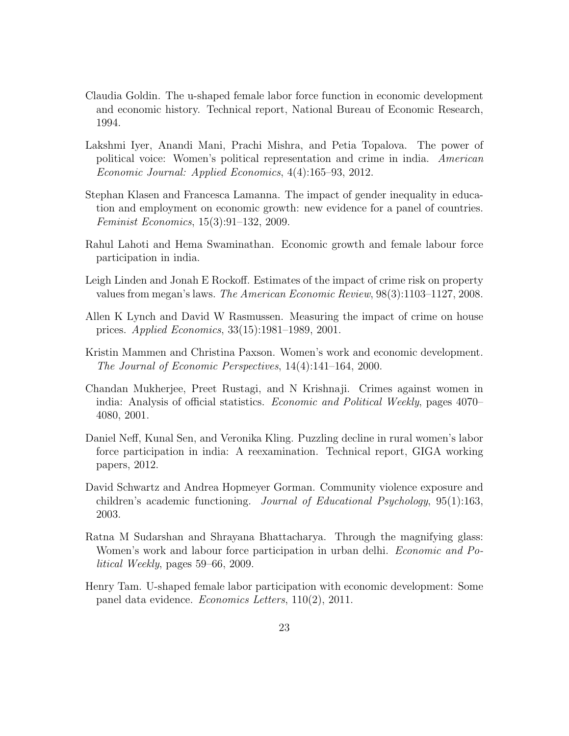- Claudia Goldin. The u-shaped female labor force function in economic development and economic history. Technical report, National Bureau of Economic Research, 1994.
- Lakshmi Iyer, Anandi Mani, Prachi Mishra, and Petia Topalova. The power of political voice: Women's political representation and crime in india. American Economic Journal: Applied Economics, 4(4):165–93, 2012.
- Stephan Klasen and Francesca Lamanna. The impact of gender inequality in education and employment on economic growth: new evidence for a panel of countries. Feminist Economics, 15(3):91–132, 2009.
- Rahul Lahoti and Hema Swaminathan. Economic growth and female labour force participation in india.
- Leigh Linden and Jonah E Rockoff. Estimates of the impact of crime risk on property values from megan's laws. The American Economic Review, 98(3):1103–1127, 2008.
- Allen K Lynch and David W Rasmussen. Measuring the impact of crime on house prices. Applied Economics, 33(15):1981–1989, 2001.
- Kristin Mammen and Christina Paxson. Women's work and economic development. The Journal of Economic Perspectives, 14(4):141–164, 2000.
- Chandan Mukherjee, Preet Rustagi, and N Krishnaji. Crimes against women in india: Analysis of official statistics. Economic and Political Weekly, pages 4070– 4080, 2001.
- Daniel Neff, Kunal Sen, and Veronika Kling. Puzzling decline in rural women's labor force participation in india: A reexamination. Technical report, GIGA working papers, 2012.
- David Schwartz and Andrea Hopmeyer Gorman. Community violence exposure and children's academic functioning. Journal of Educational Psychology, 95(1):163, 2003.
- Ratna M Sudarshan and Shrayana Bhattacharya. Through the magnifying glass: Women's work and labour force participation in urban delhi. *Economic and Po*litical Weekly, pages 59–66, 2009.
- Henry Tam. U-shaped female labor participation with economic development: Some panel data evidence. Economics Letters, 110(2), 2011.